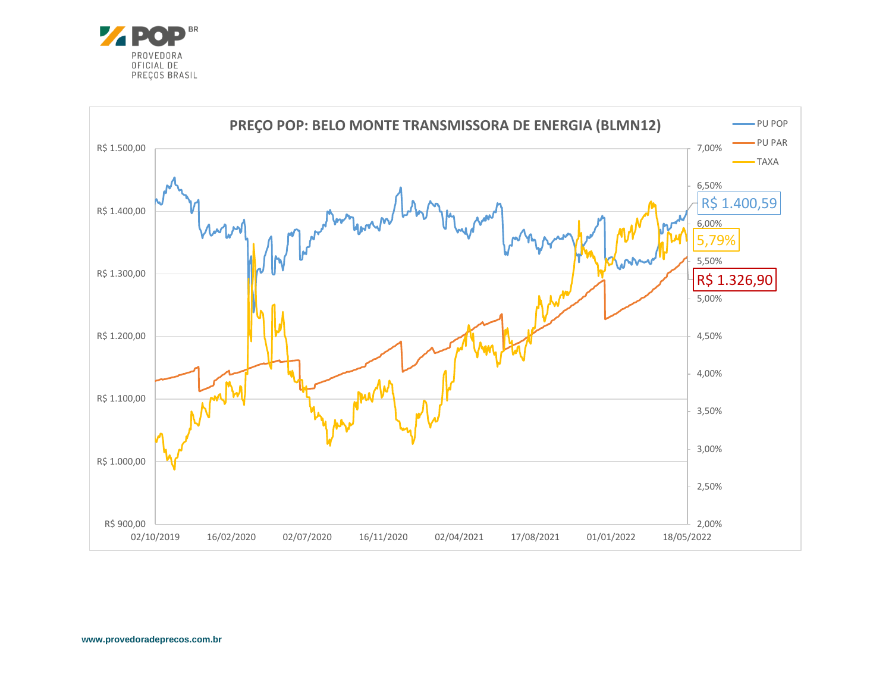

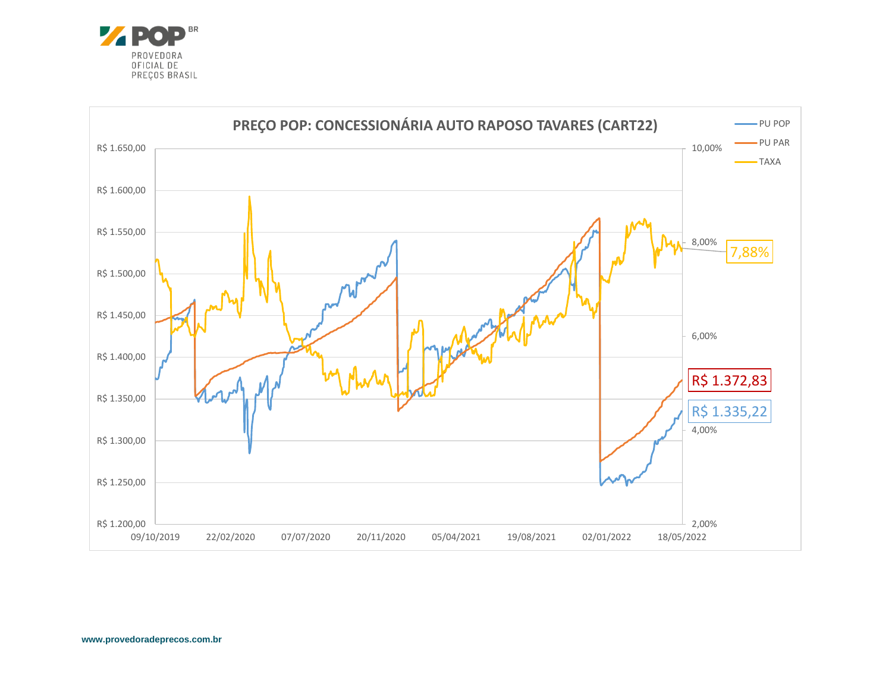

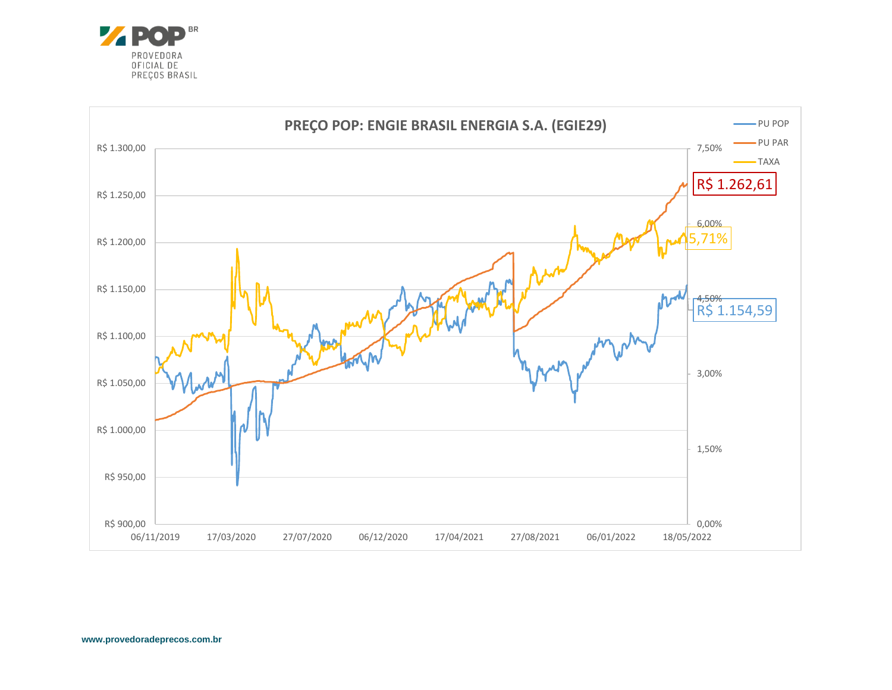

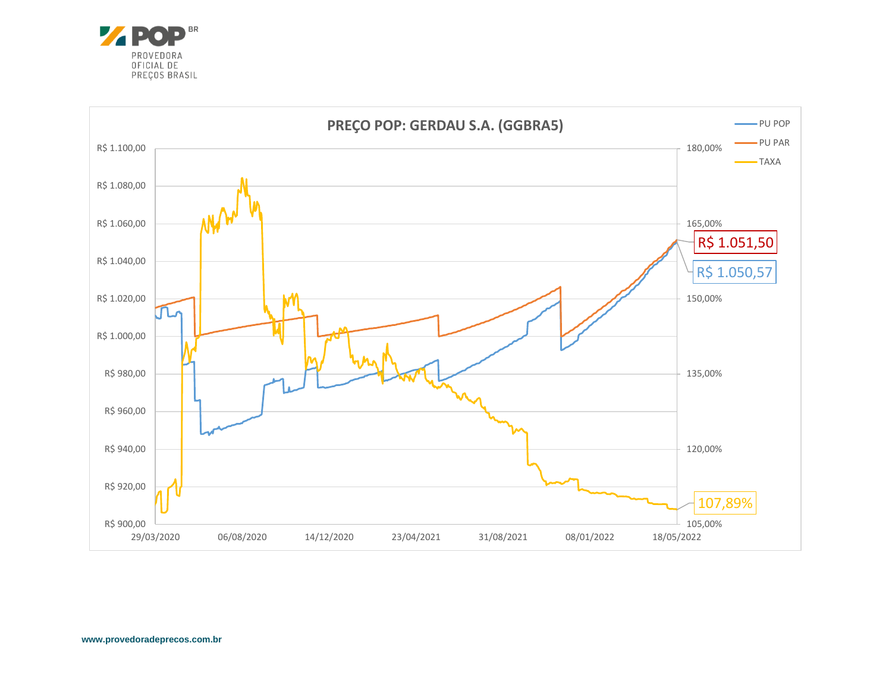

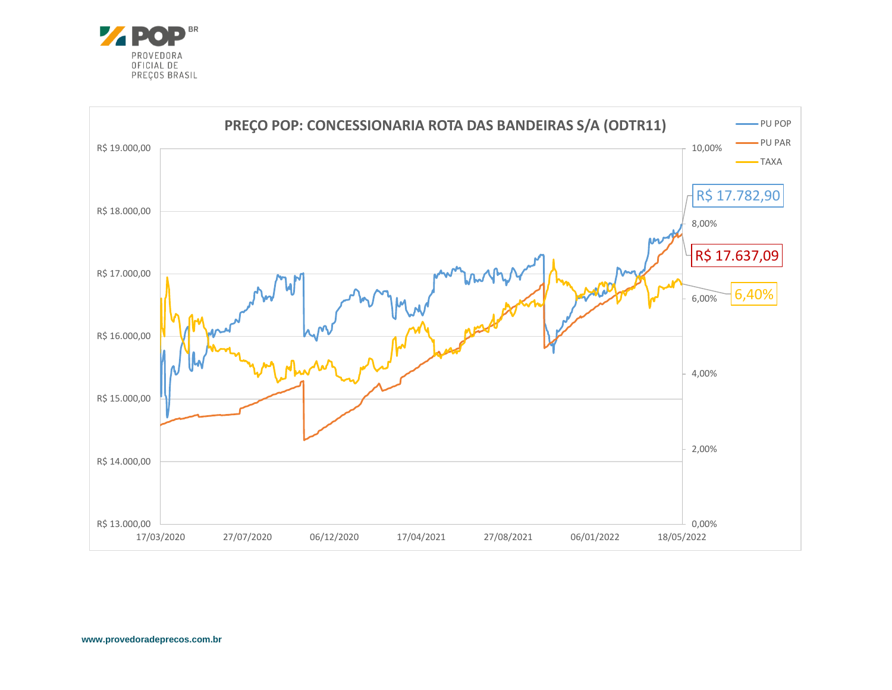

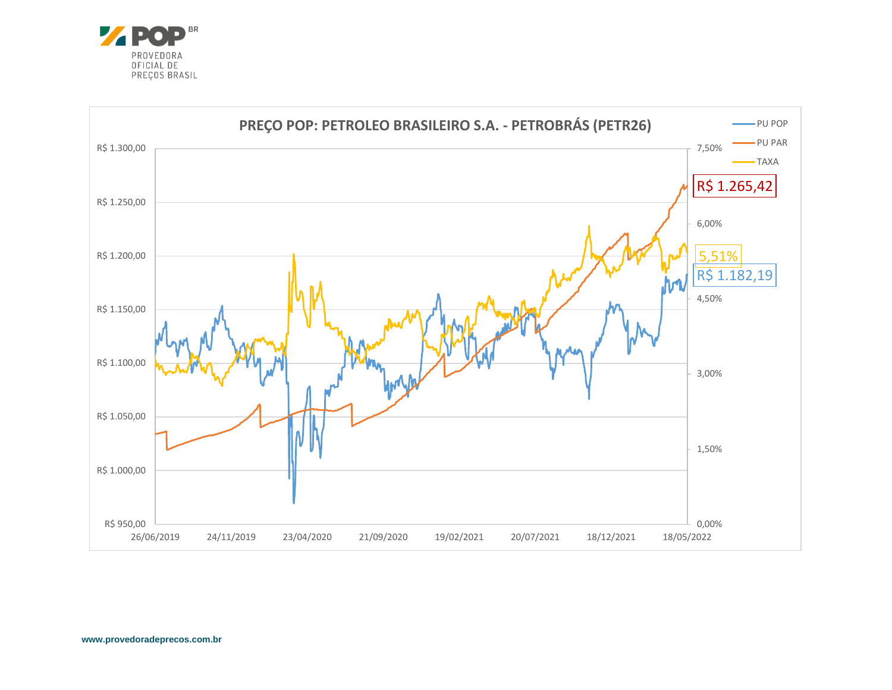

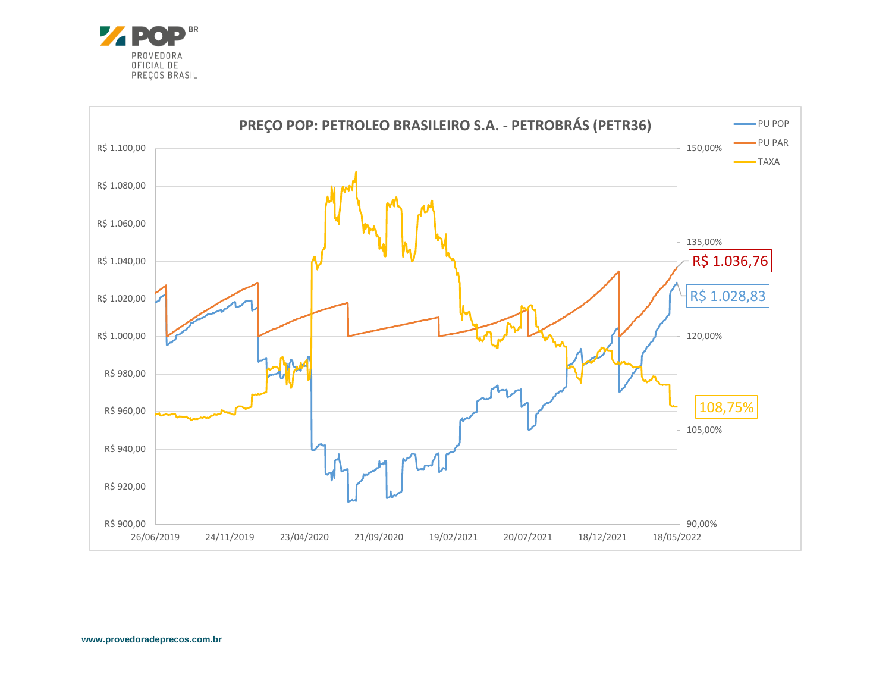

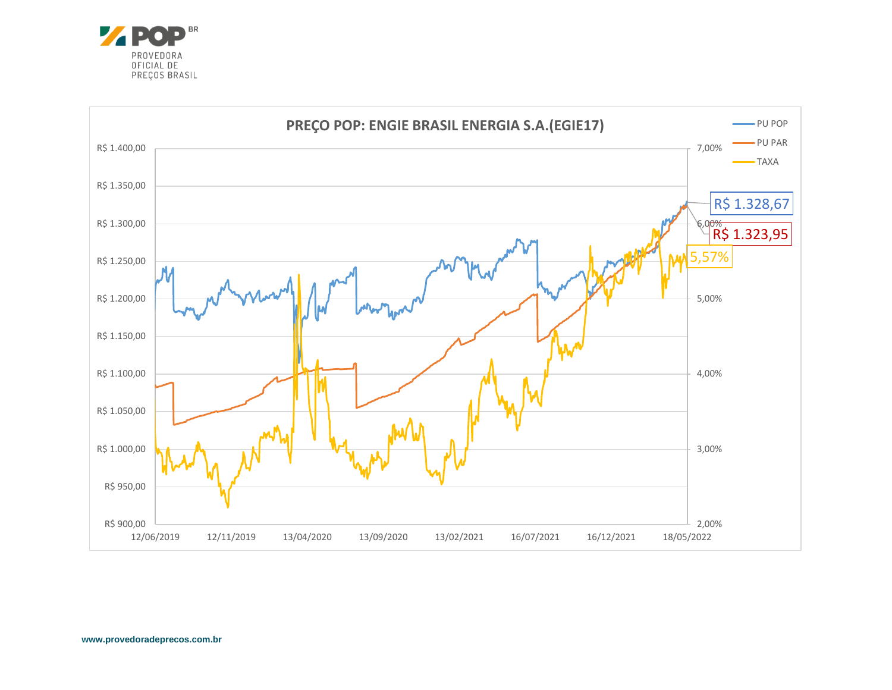

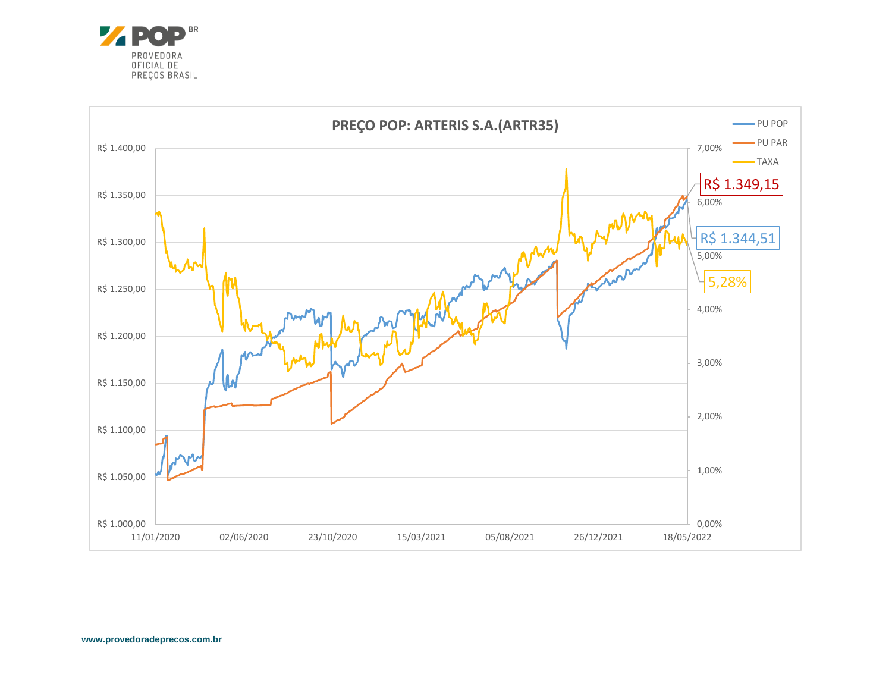

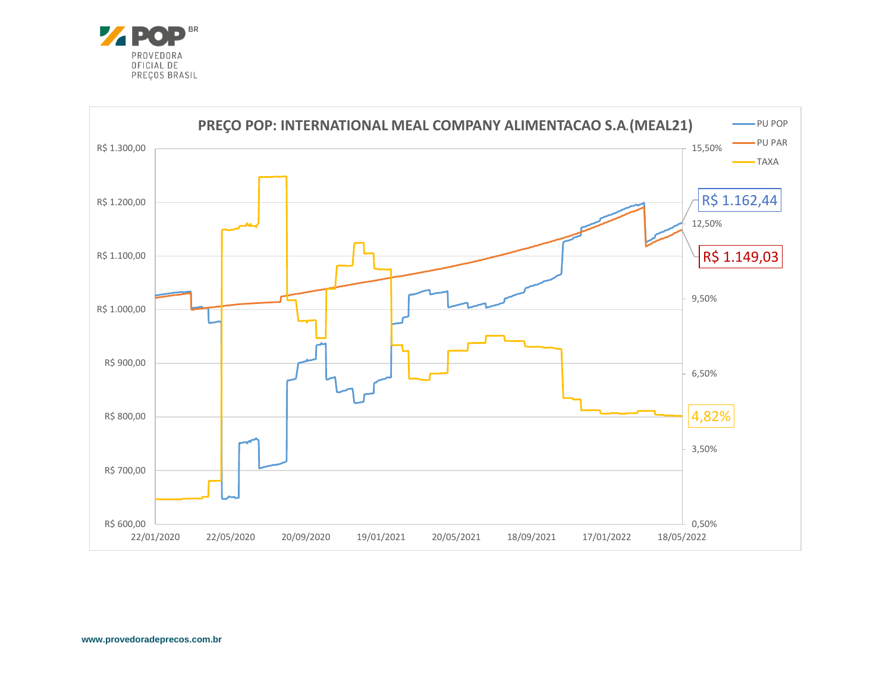

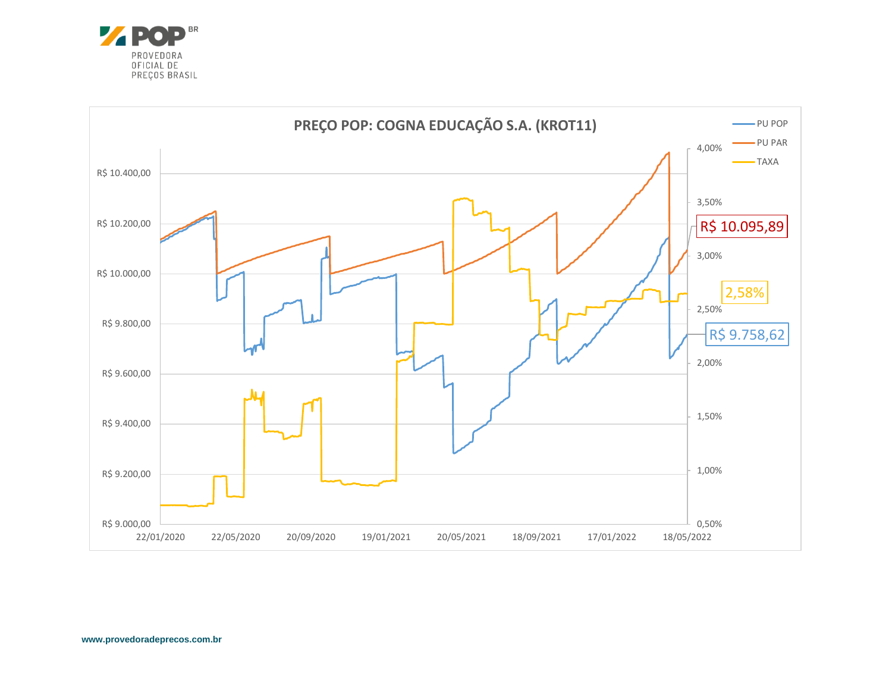

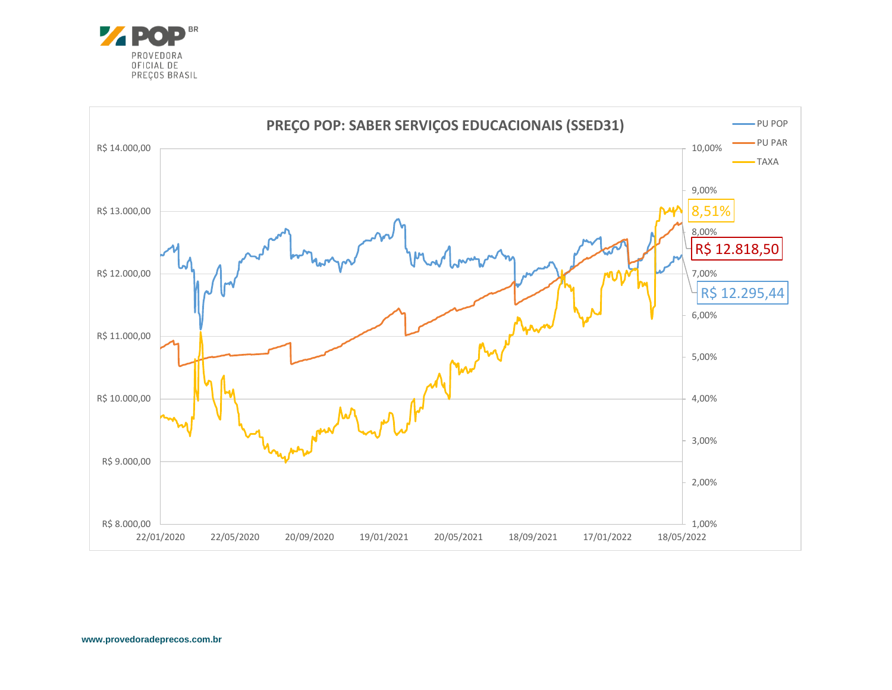

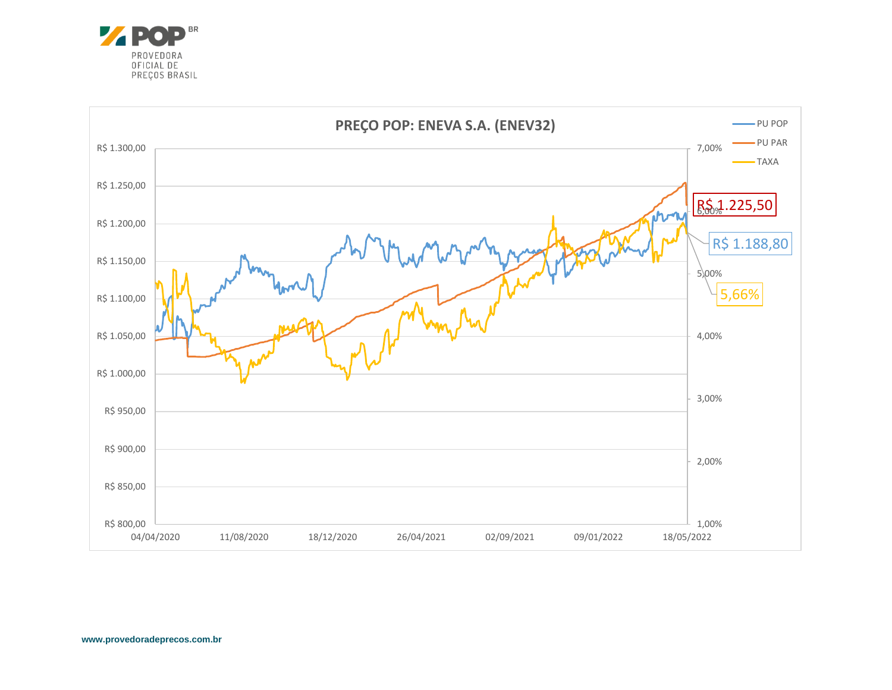

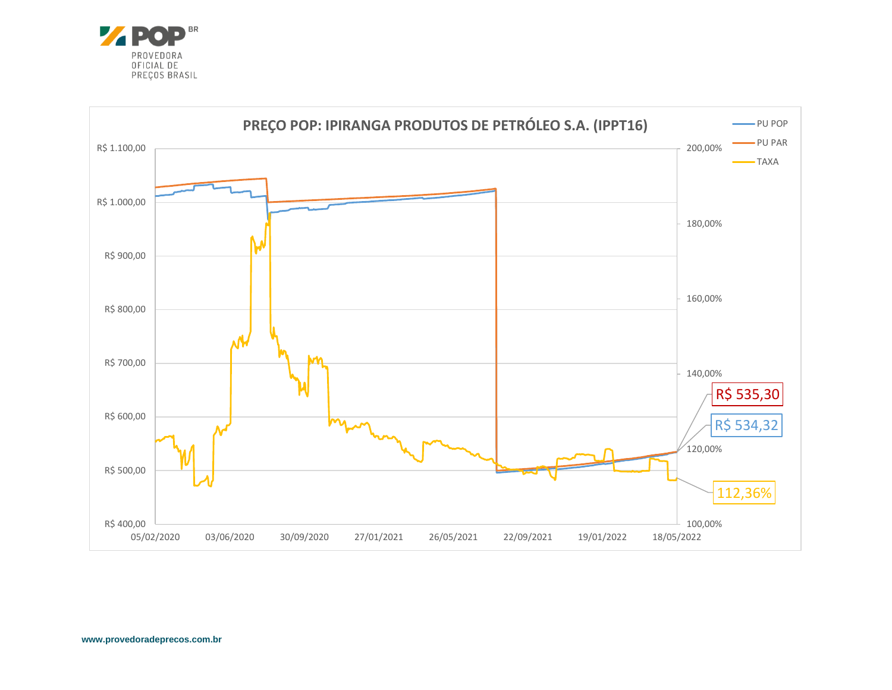

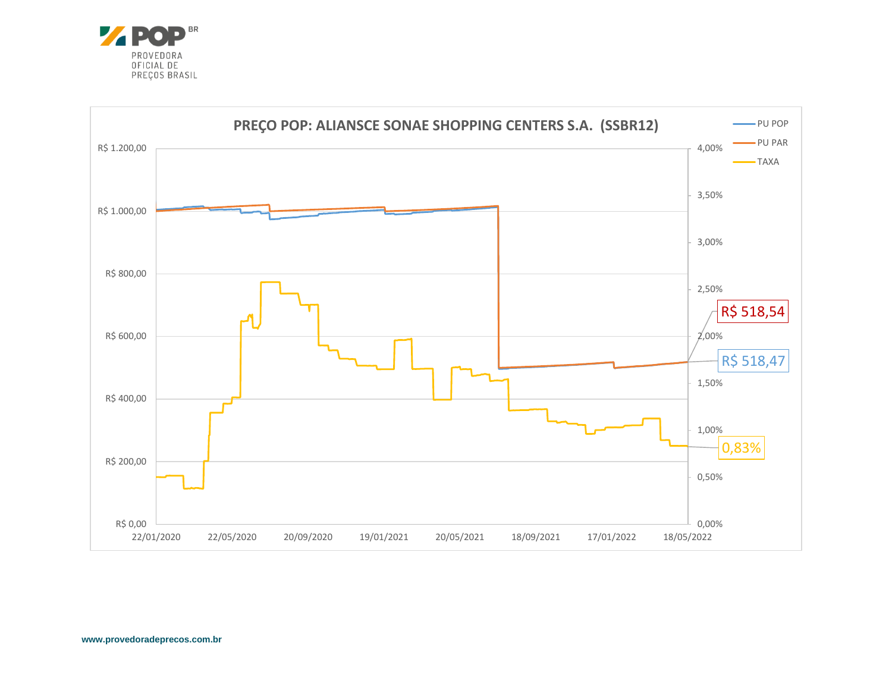

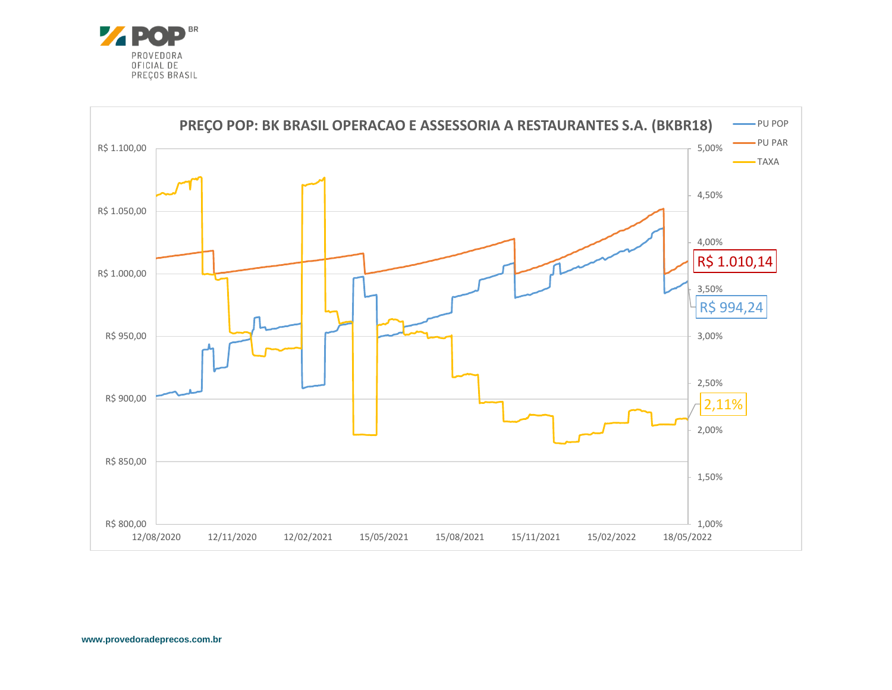

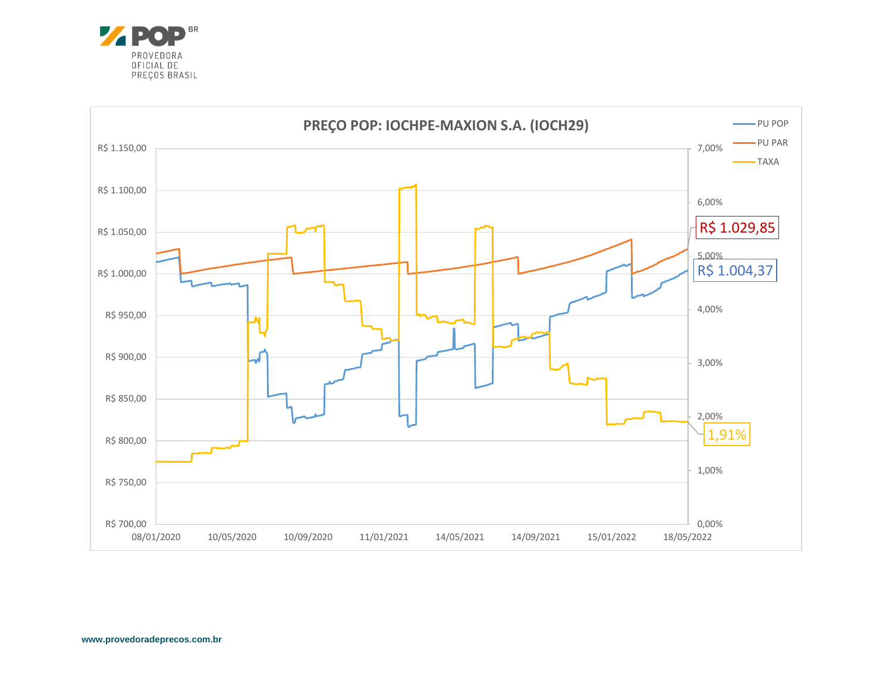

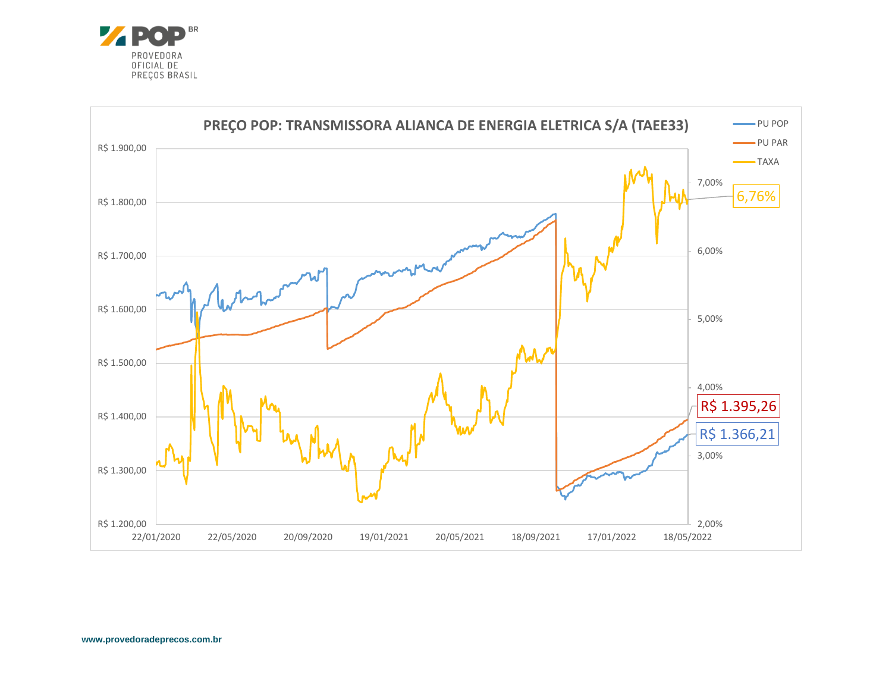

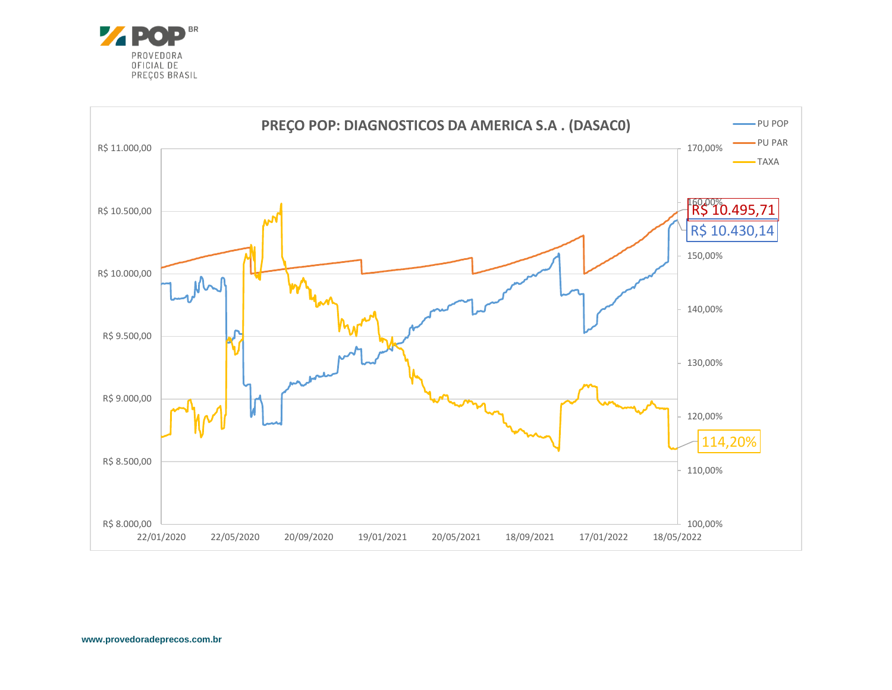

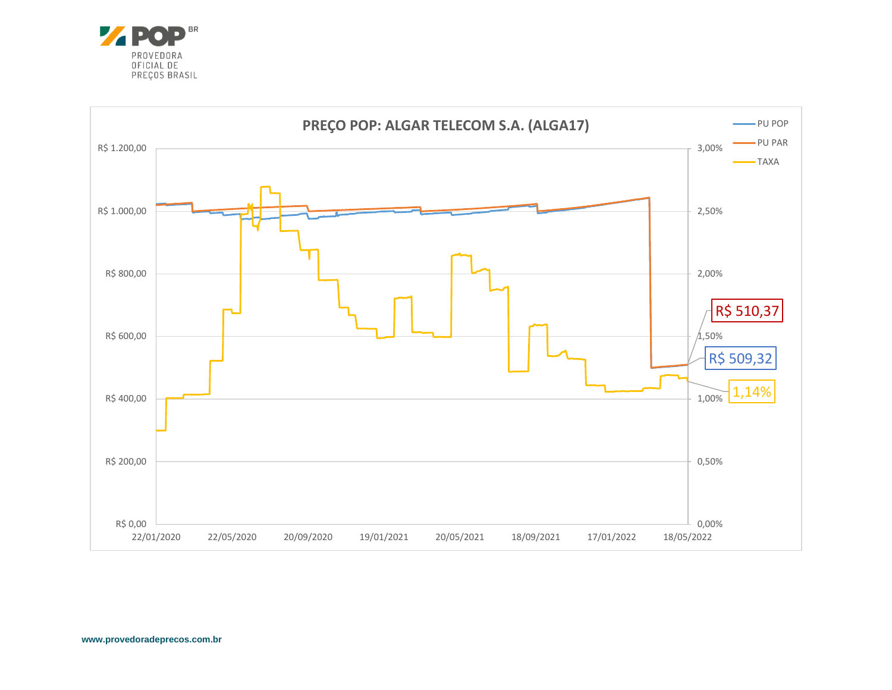

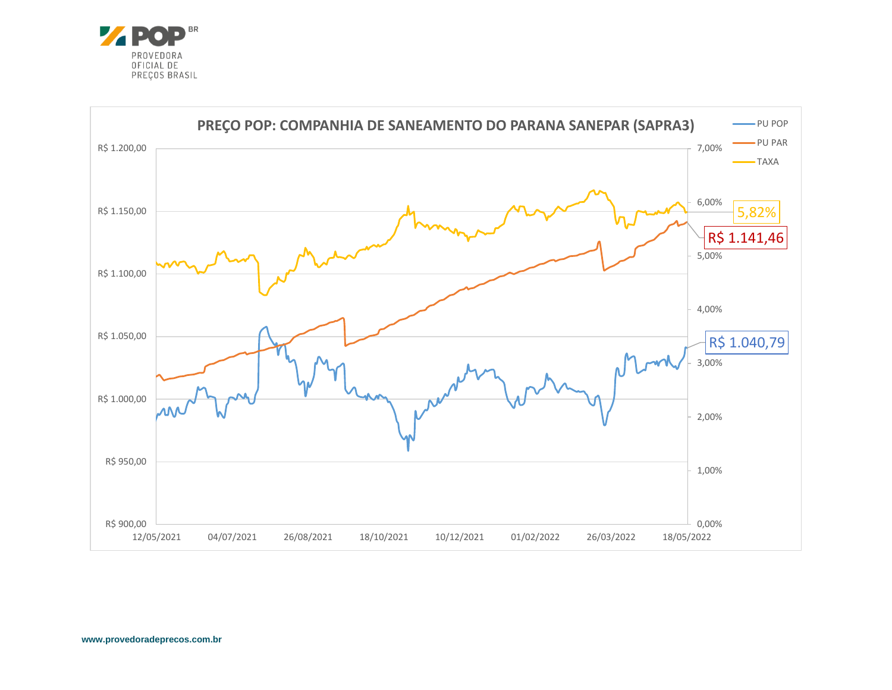

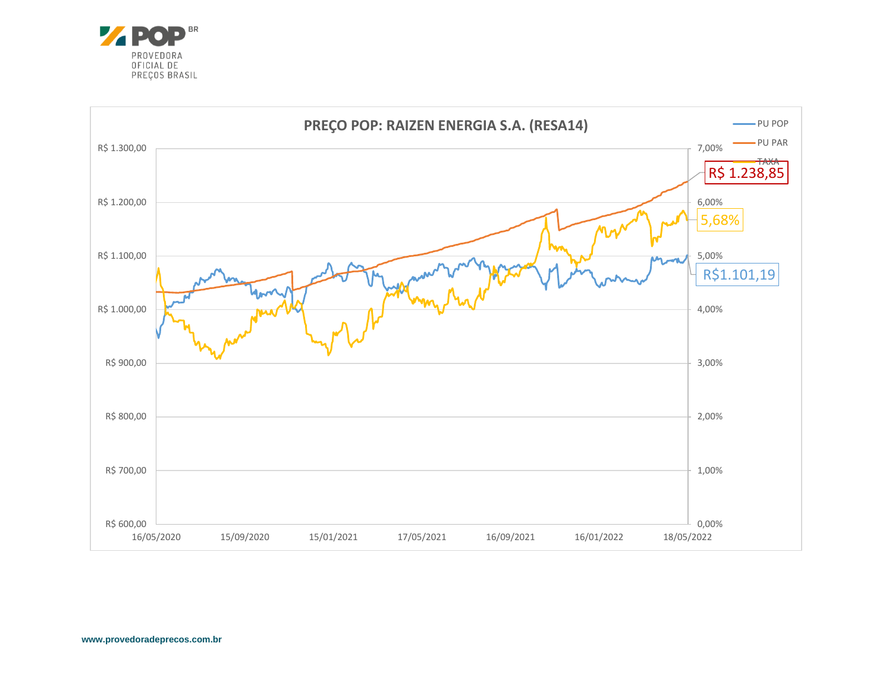

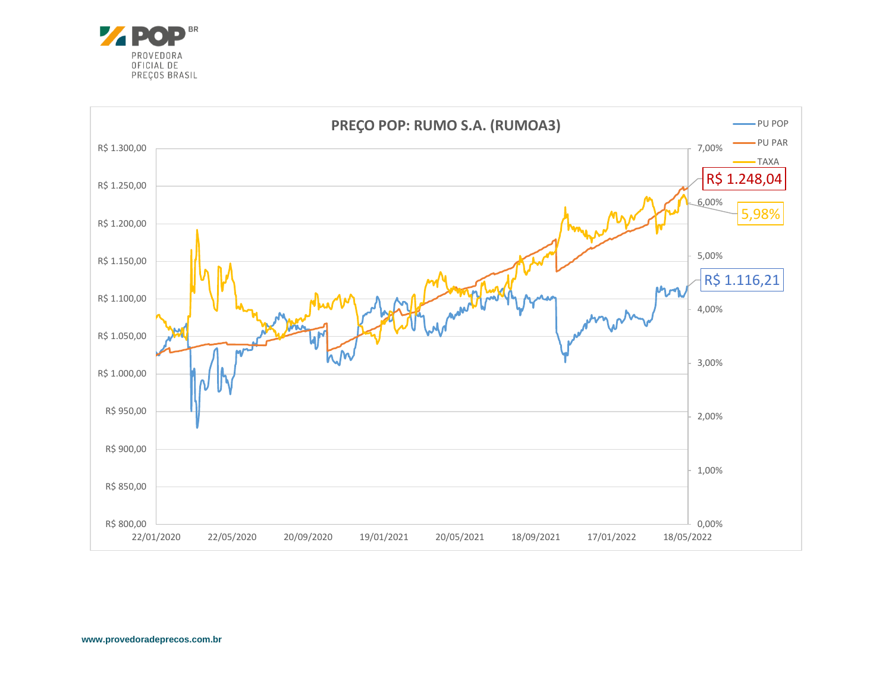